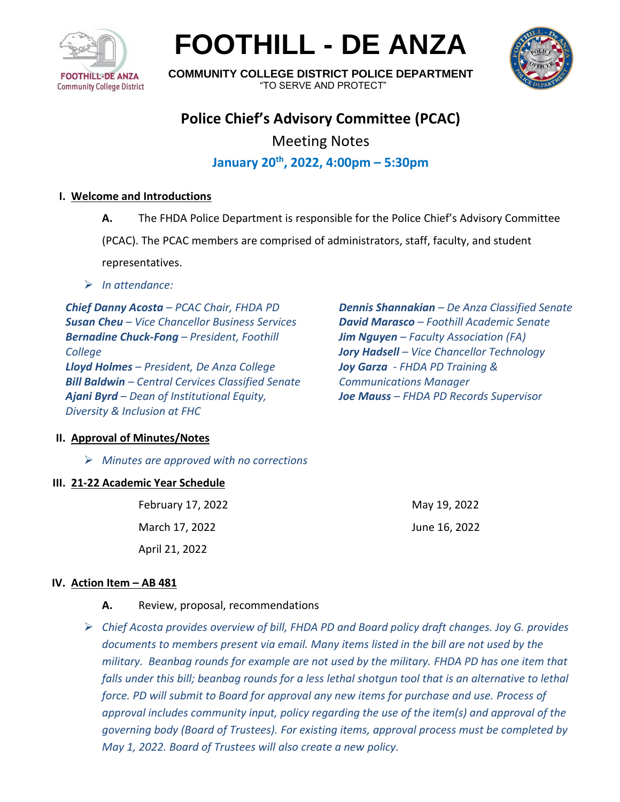

**FOOTHILL - DE ANZA**



**COMMUNITY COLLEGE DISTRICT POLICE DEPARTMENT** "TO SERVE AND PROTECT"

# **Police Chief's Advisory Committee (PCAC)**

Meeting Notes

**January 20th , 2022, 4:00pm – 5:30pm**

#### **I. Welcome and Introductions**

**A.** The FHDA Police Department is responsible for the Police Chief's Advisory Committee

(PCAC). The PCAC members are comprised of administrators, staff, faculty, and student

representatives.

➢ *In attendance:* 

*Chief Danny Acosta – PCAC Chair, FHDA PD Susan Cheu – Vice Chancellor Business Services Bernadine Chuck-Fong – President, Foothill College Lloyd Holmes – President, De Anza College Bill Baldwin – Central Cervices Classified Senate Ajani Byrd – Dean of Institutional Equity, Diversity & Inclusion at FHC* 

*Dennis Shannakian – De Anza Classified Senate David Marasco – Foothill Academic Senate Jim Nguyen – Faculty Association (FA) Jory Hadsell – Vice Chancellor Technology Joy Garza - FHDA PD Training & Communications Manager Joe Mauss – FHDA PD Records Supervisor*

#### **II. Approval of Minutes/Notes**

➢ *Minutes are approved with no corrections*

#### **III. 21-22 Academic Year Schedule**

February 17, 2022 March 17, 2022 April 21, 2022

May 19, 2022 June 16, 2022

#### **IV. Action Item – AB 481**

- **A.** Review, proposal, recommendations
- ➢ *Chief Acosta provides overview of bill, FHDA PD and Board policy draft changes. Joy G. provides documents to members present via email. Many items listed in the bill are not used by the military. Beanbag rounds for example are not used by the military. FHDA PD has one item that falls under this bill; beanbag rounds for a less lethal shotgun tool that is an alternative to lethal force. PD will submit to Board for approval any new items for purchase and use. Process of approval includes community input, policy regarding the use of the item(s) and approval of the governing body (Board of Trustees). For existing items, approval process must be completed by May 1, 2022. Board of Trustees will also create a new policy.*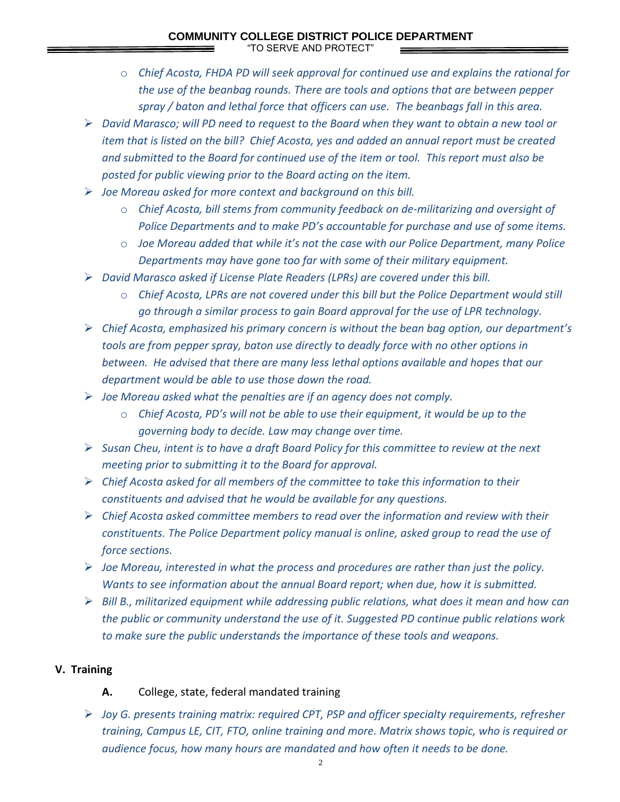### **COMMUNITY COLLEGE DISTRICT POLICE DEPARTMENT**

"TO SERVE AND PROTECT"

- o *Chief Acosta, FHDA PD will seek approval for continued use and explains the rational for the use of the beanbag rounds. There are tools and options that are between pepper spray / baton and lethal force that officers can use. The beanbags fall in this area.*
- ➢ *David Marasco; will PD need to request to the Board when they want to obtain a new tool or item that is listed on the bill? Chief Acosta, yes and added an annual report must be created and submitted to the Board for continued use of the item or tool. This report must also be posted for public viewing prior to the Board acting on the item.*
- ➢ *Joe Moreau asked for more context and background on this bill.*
	- o *Chief Acosta, bill stems from community feedback on de-militarizing and oversight of Police Departments and to make PD's accountable for purchase and use of some items.*
	- o *Joe Moreau added that while it's not the case with our Police Department, many Police Departments may have gone too far with some of their military equipment.*
- ➢ *David Marasco asked if License Plate Readers (LPRs) are covered under this bill.*
	- o *Chief Acosta, LPRs are not covered under this bill but the Police Department would still go through a similar process to gain Board approval for the use of LPR technology.*
- ➢ *Chief Acosta, emphasized his primary concern is without the bean bag option, our department's tools are from pepper spray, baton use directly to deadly force with no other options in between. He advised that there are many less lethal options available and hopes that our department would be able to use those down the road.*
- ➢ *Joe Moreau asked what the penalties are if an agency does not comply.*
	- o *Chief Acosta, PD's will not be able to use their equipment, it would be up to the governing body to decide. Law may change over time.*
- ➢ *Susan Cheu, intent is to have a draft Board Policy for this committee to review at the next meeting prior to submitting it to the Board for approval.*
- ➢ *Chief Acosta asked for all members of the committee to take this information to their constituents and advised that he would be available for any questions.*
- ➢ *Chief Acosta asked committee members to read over the information and review with their constituents. The Police Department policy manual is online, asked group to read the use of force sections.*
- ➢ *Joe Moreau, interested in what the process and procedures are rather than just the policy. Wants to see information about the annual Board report; when due, how it is submitted.*
- ➢ *Bill B., militarized equipment while addressing public relations, what does it mean and how can the public or community understand the use of it. Suggested PD continue public relations work to make sure the public understands the importance of these tools and weapons.*

#### **V. Training**

#### **A.** College, state, federal mandated training

➢ *Joy G. presents training matrix: required CPT, PSP and officer specialty requirements, refresher training, Campus LE, CIT, FTO, online training and more. Matrix shows topic, who is required or audience focus, how many hours are mandated and how often it needs to be done.*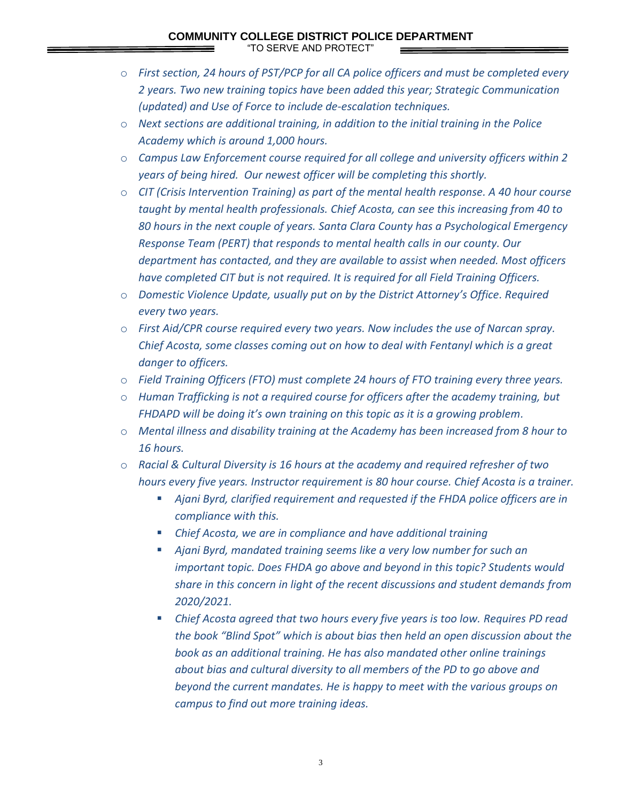## **COMMUNITY COLLEGE DISTRICT POLICE DEPARTMENT**

"TO SERVE AND PROTECT"

- o *First section, 24 hours of PST/PCP for all CA police officers and must be completed every 2 years. Two new training topics have been added this year; Strategic Communication (updated) and Use of Force to include de-escalation techniques.*
- o *Next sections are additional training, in addition to the initial training in the Police Academy which is around 1,000 hours.*
- o *Campus Law Enforcement course required for all college and university officers within 2 years of being hired. Our newest officer will be completing this shortly.*
- o *CIT (Crisis Intervention Training) as part of the mental health response. A 40 hour course taught by mental health professionals. Chief Acosta, can see this increasing from 40 to 80 hours in the next couple of years. Santa Clara County has a Psychological Emergency Response Team (PERT) that responds to mental health calls in our county. Our department has contacted, and they are available to assist when needed. Most officers have completed CIT but is not required. It is required for all Field Training Officers.*
- o *Domestic Violence Update, usually put on by the District Attorney's Office. Required every two years.*
- o *First Aid/CPR course required every two years. Now includes the use of Narcan spray. Chief Acosta, some classes coming out on how to deal with Fentanyl which is a great danger to officers.*
- o *Field Training Officers (FTO) must complete 24 hours of FTO training every three years.*
- o *Human Trafficking is not a required course for officers after the academy training, but FHDAPD will be doing it's own training on this topic as it is a growing problem.*
- o *Mental illness and disability training at the Academy has been increased from 8 hour to 16 hours.*
- o *Racial & Cultural Diversity is 16 hours at the academy and required refresher of two hours every five years. Instructor requirement is 80 hour course. Chief Acosta is a trainer.* 
	- Ajani Byrd, clarified requirement and requested if the FHDA police officers are in *compliance with this.*
	- Chief Acosta, we are in compliance and have additional training
	- *Ajani Byrd, mandated training seems like a very low number for such an important topic. Does FHDA go above and beyond in this topic? Students would share in this concern in light of the recent discussions and student demands from 2020/2021.*
	- Chief Acosta agreed that two hours every five years is too low. Requires PD read *the book "Blind Spot" which is about bias then held an open discussion about the book as an additional training. He has also mandated other online trainings about bias and cultural diversity to all members of the PD to go above and beyond the current mandates. He is happy to meet with the various groups on campus to find out more training ideas.*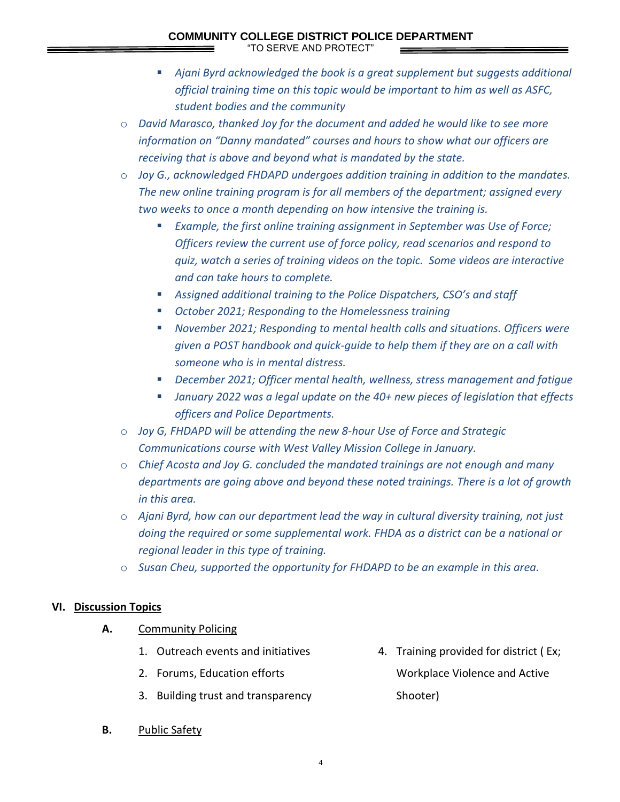#### **COMMUNITY COLLEGE DISTRICT POLICE DEPARTMENT**

"TO SERVE AND PROTECT"

- *Ajani Byrd acknowledged the book is a great supplement but suggests additional official training time on this topic would be important to him as well as ASFC, student bodies and the community*
- o *David Marasco, thanked Joy for the document and added he would like to see more information on "Danny mandated" courses and hours to show what our officers are receiving that is above and beyond what is mandated by the state.*
- o *Joy G., acknowledged FHDAPD undergoes addition training in addition to the mandates. The new online training program is for all members of the department; assigned every two weeks to once a month depending on how intensive the training is.*
	- *Example, the first online training assignment in September was Use of Force; Officers review the current use of force policy, read scenarios and respond to quiz, watch a series of training videos on the topic. Some videos are interactive and can take hours to complete.*
	- *Assigned additional training to the Police Dispatchers, CSO's and staff*
	- *October 2021; Responding to the Homelessness training*
	- *November 2021; Responding to mental health calls and situations. Officers were given a POST handbook and quick-guide to help them if they are on a call with someone who is in mental distress.*
	- *December 2021; Officer mental health, wellness, stress management and fatigue*
	- January 2022 was a legal update on the 40+ new pieces of legislation that effects *officers and Police Departments.*
- o *Joy G, FHDAPD will be attending the new 8-hour Use of Force and Strategic Communications course with West Valley Mission College in January.*
- o *Chief Acosta and Joy G. concluded the mandated trainings are not enough and many departments are going above and beyond these noted trainings. There is a lot of growth in this area.*
- o *Ajani Byrd, how can our department lead the way in cultural diversity training, not just doing the required or some supplemental work. FHDA as a district can be a national or regional leader in this type of training.*
- o *Susan Cheu, supported the opportunity for FHDAPD to be an example in this area.*

#### **VI. Discussion Topics**

- **A.** Community Policing
	- 1. Outreach events and initiatives
	- 2. Forums, Education efforts
	- 3. Building trust and transparency
- 4. Training provided for district ( Ex; Workplace Violence and Active Shooter)

**B.** Public Safety